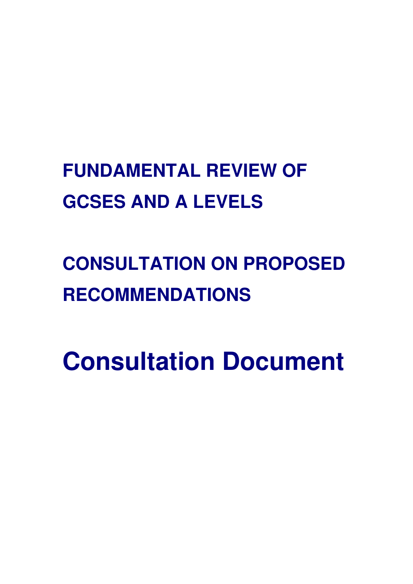# **FUNDAMENTAL REVIEW OF GCSES AND A LEVELS**

# **CONSULTATION ON PROPOSED RECOMMENDATIONS**

**Consultation Document**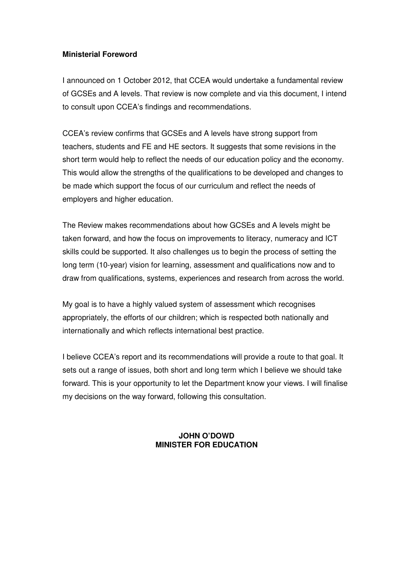#### **Ministerial Foreword**

I announced on 1 October 2012, that CCEA would undertake a fundamental review of GCSEs and A levels. That review is now complete and via this document, I intend to consult upon CCEA's findings and recommendations.

CCEA's review confirms that GCSEs and A levels have strong support from teachers, students and FE and HE sectors. It suggests that some revisions in the short term would help to reflect the needs of our education policy and the economy. This would allow the strengths of the qualifications to be developed and changes to be made which support the focus of our curriculum and reflect the needs of employers and higher education.

The Review makes recommendations about how GCSEs and A levels might be taken forward, and how the focus on improvements to literacy, numeracy and ICT skills could be supported. It also challenges us to begin the process of setting the long term (10-year) vision for learning, assessment and qualifications now and to draw from qualifications, systems, experiences and research from across the world.

My goal is to have a highly valued system of assessment which recognises appropriately, the efforts of our children; which is respected both nationally and internationally and which reflects international best practice.

I believe CCEA's report and its recommendations will provide a route to that goal. It sets out a range of issues, both short and long term which I believe we should take forward. This is your opportunity to let the Department know your views. I will finalise my decisions on the way forward, following this consultation.

#### **JOHN O'DOWD MINISTER FOR EDUCATION**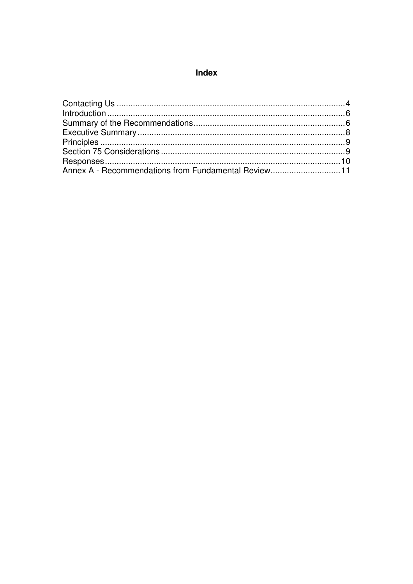## Index

| Annex A - Recommendations from Fundamental Review11 |  |
|-----------------------------------------------------|--|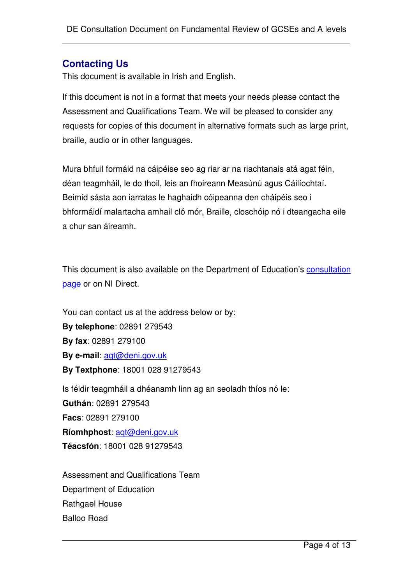## **Contacting Us**

This document is available in Irish and English.

If this document is not in a format that meets your needs please contact the Assessment and Qualifications Team. We will be pleased to consider any requests for copies of this document in alternative formats such as large print, braille, audio or in other languages.

Mura bhfuil formáid na cáipéise seo ag riar ar na riachtanais atá agat féin, déan teagmháil, le do thoil, leis an fhoireann Measúnú agus Cáilíochtaí. Beimid sásta aon iarratas le haghaidh cóipeanna den cháipéis seo i bhformáidí malartacha amhail cló mór, Braille, closchóip nó i dteangacha eile a chur san áireamh.

This document is also available on the Department of Education's consultation page or on NI Direct.

You can contact us at the address below or by: **By telephone**: 02891 279543 **By fax**: 02891 279100 **By e-mail**: aqt@deni.gov.uk **By Textphone**: 18001 028 91279543 Is féidir teagmháil a dhéanamh linn ag an seoladh thíos nó le: **Guthán**: 02891 279543 **Facs**: 02891 279100 **Ríomhphost**: aqt@deni.gov.uk **Téacsfón**: 18001 028 91279543

Assessment and Qualifications Team Department of Education Rathgael House Balloo Road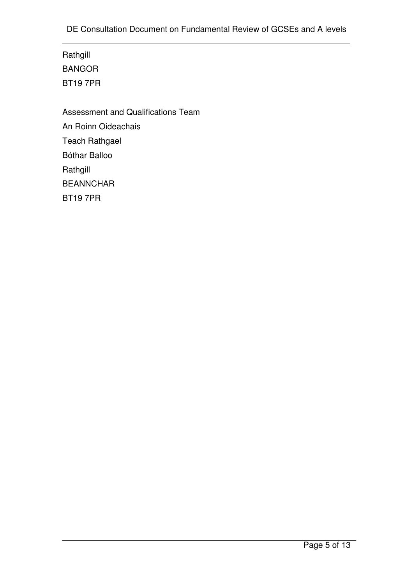Rathgill BANGOR BT19 7PR

Assessment and Qualifications Team An Roinn Oideachais Teach Rathgael Bóthar Balloo Rathgill BEANNCHAR BT19 7PR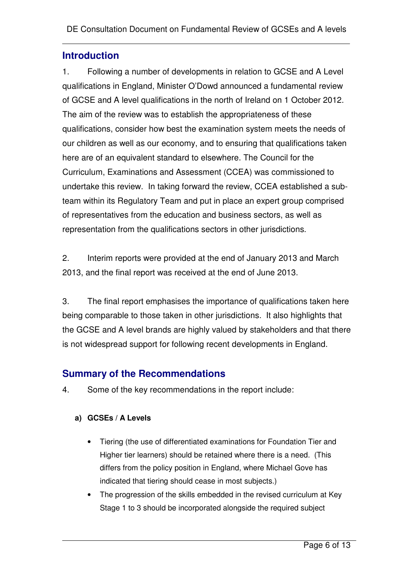## **Introduction**

1. Following a number of developments in relation to GCSE and A Level qualifications in England, Minister O'Dowd announced a fundamental review of GCSE and A level qualifications in the north of Ireland on 1 October 2012. The aim of the review was to establish the appropriateness of these qualifications, consider how best the examination system meets the needs of our children as well as our economy, and to ensuring that qualifications taken here are of an equivalent standard to elsewhere. The Council for the Curriculum, Examinations and Assessment (CCEA) was commissioned to undertake this review. In taking forward the review, CCEA established a subteam within its Regulatory Team and put in place an expert group comprised of representatives from the education and business sectors, as well as representation from the qualifications sectors in other jurisdictions.

2. Interim reports were provided at the end of January 2013 and March 2013, and the final report was received at the end of June 2013.

3. The final report emphasises the importance of qualifications taken here being comparable to those taken in other jurisdictions. It also highlights that the GCSE and A level brands are highly valued by stakeholders and that there is not widespread support for following recent developments in England.

## **Summary of the Recommendations**

4. Some of the key recommendations in the report include:

## **a) GCSEs / A Levels**

- Tiering (the use of differentiated examinations for Foundation Tier and Higher tier learners) should be retained where there is a need. (This differs from the policy position in England, where Michael Gove has indicated that tiering should cease in most subjects.)
- The progression of the skills embedded in the revised curriculum at Key Stage 1 to 3 should be incorporated alongside the required subject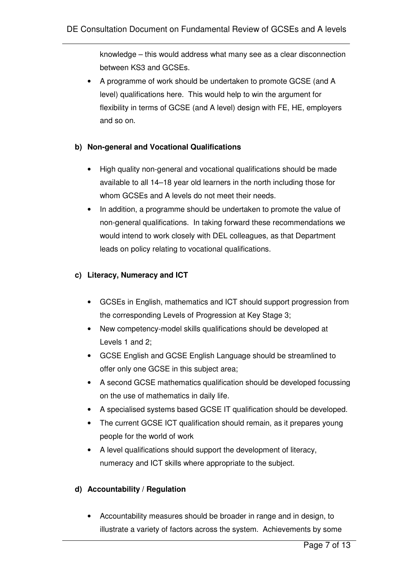knowledge – this would address what many see as a clear disconnection between KS3 and GCSEs.

• A programme of work should be undertaken to promote GCSE (and A level) qualifications here. This would help to win the argument for flexibility in terms of GCSE (and A level) design with FE, HE, employers and so on.

#### **b) Non-general and Vocational Qualifications**

- High quality non-general and vocational qualifications should be made available to all 14–18 year old learners in the north including those for whom GCSEs and A levels do not meet their needs.
- In addition, a programme should be undertaken to promote the value of non-general qualifications. In taking forward these recommendations we would intend to work closely with DEL colleagues, as that Department leads on policy relating to vocational qualifications.

#### **c) Literacy, Numeracy and ICT**

- GCSEs in English, mathematics and ICT should support progression from the corresponding Levels of Progression at Key Stage 3;
- New competency-model skills qualifications should be developed at Levels 1 and 2;
- GCSE English and GCSE English Language should be streamlined to offer only one GCSE in this subject area;
- A second GCSE mathematics qualification should be developed focussing on the use of mathematics in daily life.
- A specialised systems based GCSE IT qualification should be developed.
- The current GCSE ICT qualification should remain, as it prepares young people for the world of work
- A level qualifications should support the development of literacy, numeracy and ICT skills where appropriate to the subject.

#### **d) Accountability / Regulation**

• Accountability measures should be broader in range and in design, to illustrate a variety of factors across the system. Achievements by some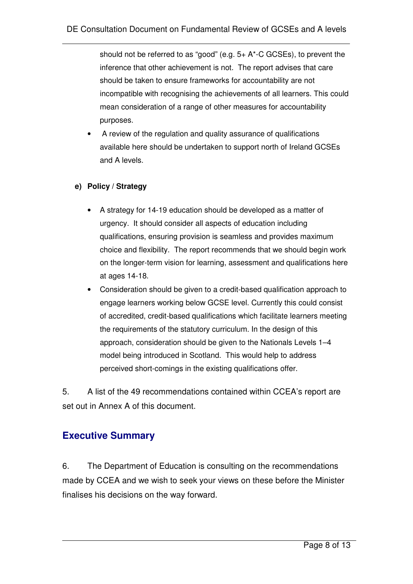should not be referred to as "good" (e.g. 5+ A\*-C GCSEs), to prevent the inference that other achievement is not. The report advises that care should be taken to ensure frameworks for accountability are not incompatible with recognising the achievements of all learners. This could mean consideration of a range of other measures for accountability purposes.

• A review of the regulation and quality assurance of qualifications available here should be undertaken to support north of Ireland GCSEs and A levels.

#### **e) Policy / Strategy**

- A strategy for 14-19 education should be developed as a matter of urgency. It should consider all aspects of education including qualifications, ensuring provision is seamless and provides maximum choice and flexibility. The report recommends that we should begin work on the longer-term vision for learning, assessment and qualifications here at ages 14-18.
- Consideration should be given to a credit-based qualification approach to engage learners working below GCSE level. Currently this could consist of accredited, credit-based qualifications which facilitate learners meeting the requirements of the statutory curriculum. In the design of this approach, consideration should be given to the Nationals Levels 1–4 model being introduced in Scotland. This would help to address perceived short-comings in the existing qualifications offer.

5. A list of the 49 recommendations contained within CCEA's report are set out in Annex A of this document.

## **Executive Summary**

6. The Department of Education is consulting on the recommendations made by CCEA and we wish to seek your views on these before the Minister finalises his decisions on the way forward.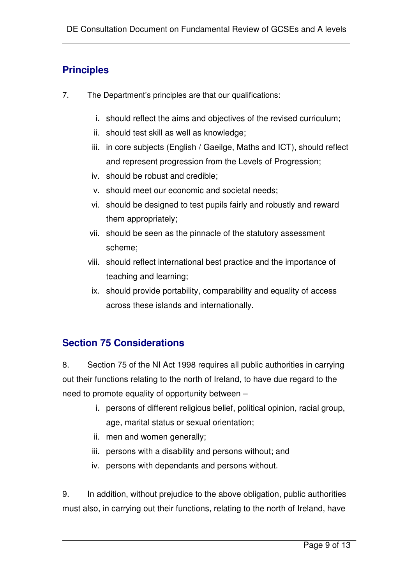# **Principles**

- 7. The Department's principles are that our qualifications:
	- i. should reflect the aims and objectives of the revised curriculum;
	- ii. should test skill as well as knowledge;
	- iii. in core subjects (English / Gaeilge, Maths and ICT), should reflect and represent progression from the Levels of Progression;
	- iv. should be robust and credible;
	- v. should meet our economic and societal needs;
	- vi. should be designed to test pupils fairly and robustly and reward them appropriately;
	- vii. should be seen as the pinnacle of the statutory assessment scheme;
	- viii. should reflect international best practice and the importance of teaching and learning;
	- ix. should provide portability, comparability and equality of access across these islands and internationally.

## **Section 75 Considerations**

8. Section 75 of the NI Act 1998 requires all public authorities in carrying out their functions relating to the north of Ireland, to have due regard to the need to promote equality of opportunity between –

- i. persons of different religious belief, political opinion, racial group, age, marital status or sexual orientation;
- ii. men and women generally;
- iii. persons with a disability and persons without; and
- iv. persons with dependants and persons without.

9. In addition, without prejudice to the above obligation, public authorities must also, in carrying out their functions, relating to the north of Ireland, have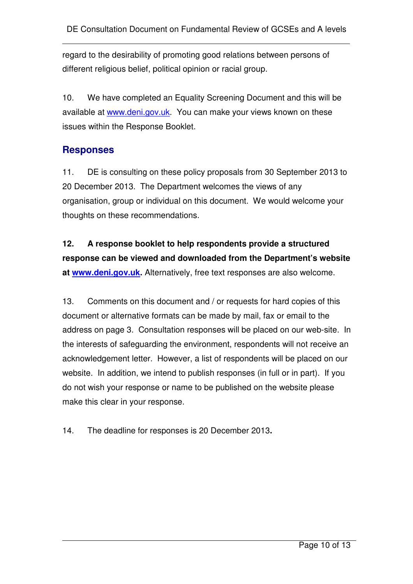regard to the desirability of promoting good relations between persons of different religious belief, political opinion or racial group.

10. We have completed an Equality Screening Document and this will be available at www.deni.gov.uk. You can make your views known on these issues within the Response Booklet.

## **Responses**

11. DE is consulting on these policy proposals from 30 September 2013 to 20 December 2013. The Department welcomes the views of any organisation, group or individual on this document. We would welcome your thoughts on these recommendations.

# **12. A response booklet to help respondents provide a structured response can be viewed and downloaded from the Department's website at www.deni.gov.uk.** Alternatively, free text responses are also welcome.

13. Comments on this document and / or requests for hard copies of this document or alternative formats can be made by mail, fax or email to the address on page 3. Consultation responses will be placed on our web-site. In the interests of safeguarding the environment, respondents will not receive an acknowledgement letter. However, a list of respondents will be placed on our website. In addition, we intend to publish responses (in full or in part). If you do not wish your response or name to be published on the website please make this clear in your response.

## 14. The deadline for responses is 20 December 2013**.**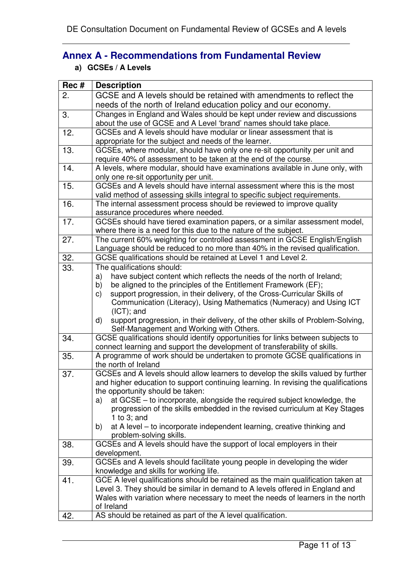# **Annex A - Recommendations from Fundamental Review**

**a) GCSEs / A Levels**

| Rec# | <b>Description</b>                                                                                                                             |
|------|------------------------------------------------------------------------------------------------------------------------------------------------|
| 2.   | GCSE and A levels should be retained with amendments to reflect the                                                                            |
|      | needs of the north of Ireland education policy and our economy.                                                                                |
| 3.   | Changes in England and Wales should be kept under review and discussions                                                                       |
|      | about the use of GCSE and A Level 'brand' names should take place.                                                                             |
| 12.  | GCSEs and A levels should have modular or linear assessment that is                                                                            |
|      | appropriate for the subject and needs of the learner.                                                                                          |
| 13.  | GCSEs, where modular, should have only one re-sit opportunity per unit and                                                                     |
|      | require 40% of assessment to be taken at the end of the course.                                                                                |
| 14.  | A levels, where modular, should have examinations available in June only, with                                                                 |
|      | only one re-sit opportunity per unit.                                                                                                          |
| 15.  | GCSEs and A levels should have internal assessment where this is the most                                                                      |
|      | valid method of assessing skills integral to specific subject requirements.                                                                    |
| 16.  | The internal assessment process should be reviewed to improve quality                                                                          |
|      | assurance procedures where needed.                                                                                                             |
| 17.  | GCSEs should have tiered examination papers, or a similar assessment model,                                                                    |
|      | where there is a need for this due to the nature of the subject.                                                                               |
| 27.  | The current 60% weighting for controlled assessment in GCSE English/English                                                                    |
|      | Language should be reduced to no more than 40% in the revised qualification.<br>GCSE qualifications should be retained at Level 1 and Level 2. |
| 32.  |                                                                                                                                                |
| 33.  | The qualifications should:<br>have subject content which reflects the needs of the north of Ireland;                                           |
|      | a)<br>be aligned to the principles of the Entitlement Framework (EF);<br>b)                                                                    |
|      | support progression, in their delivery, of the Cross-Curricular Skills of<br>C)                                                                |
|      | Communication (Literacy), Using Mathematics (Numeracy) and Using ICT                                                                           |
|      | $(ICT)$ ; and                                                                                                                                  |
|      | support progression, in their delivery, of the other skills of Problem-Solving,<br>d)                                                          |
|      | Self-Management and Working with Others.                                                                                                       |
| 34.  | GCSE qualifications should identify opportunities for links between subjects to                                                                |
|      | connect learning and support the development of transferability of skills.                                                                     |
| 35.  | A programme of work should be undertaken to promote GCSE qualifications in                                                                     |
|      | the north of Ireland                                                                                                                           |
| 37.  | GCSEs and A levels should allow learners to develop the skills valued by further                                                               |
|      | and higher education to support continuing learning. In revising the qualifications                                                            |
|      | the opportunity should be taken:                                                                                                               |
|      | at GCSE – to incorporate, alongside the required subject knowledge, the<br>a)                                                                  |
|      | progression of the skills embedded in the revised curriculum at Key Stages                                                                     |
|      | 1 to $3$ ; and<br>at A level – to incorporate independent learning, creative thinking and<br>b)                                                |
|      | problem-solving skills.                                                                                                                        |
| 38.  | GCSEs and A levels should have the support of local employers in their                                                                         |
|      | development.                                                                                                                                   |
| 39.  | GCSEs and A levels should facilitate young people in developing the wider                                                                      |
|      | knowledge and skills for working life.                                                                                                         |
| 41.  | GCE A level qualifications should be retained as the main qualification taken at                                                               |
|      | Level 3. They should be similar in demand to A levels offered in England and                                                                   |
|      | Wales with variation where necessary to meet the needs of learners in the north                                                                |
|      | of Ireland                                                                                                                                     |
| 42.  | AS should be retained as part of the A level qualification.                                                                                    |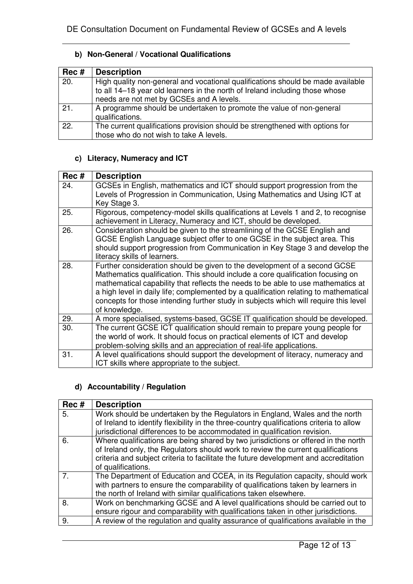## **b) Non-General / Vocational Qualifications**

| Rec # | <b>Description</b>                                                              |
|-------|---------------------------------------------------------------------------------|
| 20.   | High quality non-general and vocational qualifications should be made available |
|       | to all 14-18 year old learners in the north of Ireland including those whose    |
|       | needs are not met by GCSEs and A levels.                                        |
| 21.   | A programme should be undertaken to promote the value of non-general            |
|       | qualifications.                                                                 |
| 22.   | The current qualifications provision should be strengthened with options for    |
|       | those who do not wish to take A levels.                                         |

#### **c) Literacy, Numeracy and ICT**

| Rec # | <b>Description</b>                                                                                                                                                                                                                                                                                                                                                                                                                                |
|-------|---------------------------------------------------------------------------------------------------------------------------------------------------------------------------------------------------------------------------------------------------------------------------------------------------------------------------------------------------------------------------------------------------------------------------------------------------|
| 24.   | GCSEs in English, mathematics and ICT should support progression from the<br>Levels of Progression in Communication, Using Mathematics and Using ICT at<br>Key Stage 3.                                                                                                                                                                                                                                                                           |
| 25.   | Rigorous, competency-model skills qualifications at Levels 1 and 2, to recognise<br>achievement in Literacy, Numeracy and ICT, should be developed.                                                                                                                                                                                                                                                                                               |
| 26.   | Consideration should be given to the streamlining of the GCSE English and<br>GCSE English Language subject offer to one GCSE in the subject area. This<br>should support progression from Communication in Key Stage 3 and develop the<br>literacy skills of learners.                                                                                                                                                                            |
| 28.   | Further consideration should be given to the development of a second GCSE<br>Mathematics qualification. This should include a core qualification focusing on<br>mathematical capability that reflects the needs to be able to use mathematics at<br>a high level in daily life; complemented by a qualification relating to mathematical<br>concepts for those intending further study in subjects which will require this level<br>of knowledge. |
| 29.   | A more specialised, systems-based, GCSE IT qualification should be developed.                                                                                                                                                                                                                                                                                                                                                                     |
| 30.   | The current GCSE ICT qualification should remain to prepare young people for<br>the world of work. It should focus on practical elements of ICT and develop<br>problem-solving skills and an appreciation of real-life applications.                                                                                                                                                                                                              |
| 31.   | A level qualifications should support the development of literacy, numeracy and<br>ICT skills where appropriate to the subject.                                                                                                                                                                                                                                                                                                                   |

### **d) Accountability / Regulation**

| Rec #          | <b>Description</b>                                                                                                                                                                                                                                                                   |
|----------------|--------------------------------------------------------------------------------------------------------------------------------------------------------------------------------------------------------------------------------------------------------------------------------------|
| 5.             | Work should be undertaken by the Regulators in England, Wales and the north<br>of Ireland to identify flexibility in the three-country qualifications criteria to allow<br>jurisdictional differences to be accommodated in qualification revision.                                  |
| 6.             | Where qualifications are being shared by two jurisdictions or offered in the north<br>of Ireland only, the Regulators should work to review the current qualifications<br>criteria and subject criteria to facilitate the future development and accreditation<br>of qualifications. |
| 7 <sup>1</sup> | The Department of Education and CCEA, in its Regulation capacity, should work<br>with partners to ensure the comparability of qualifications taken by learners in<br>the north of Ireland with similar qualifications taken elsewhere.                                               |
| 8.             | Work on benchmarking GCSE and A level qualifications should be carried out to<br>ensure rigour and comparability with qualifications taken in other jurisdictions.                                                                                                                   |
| 9.             | A review of the regulation and quality assurance of qualifications available in the                                                                                                                                                                                                  |